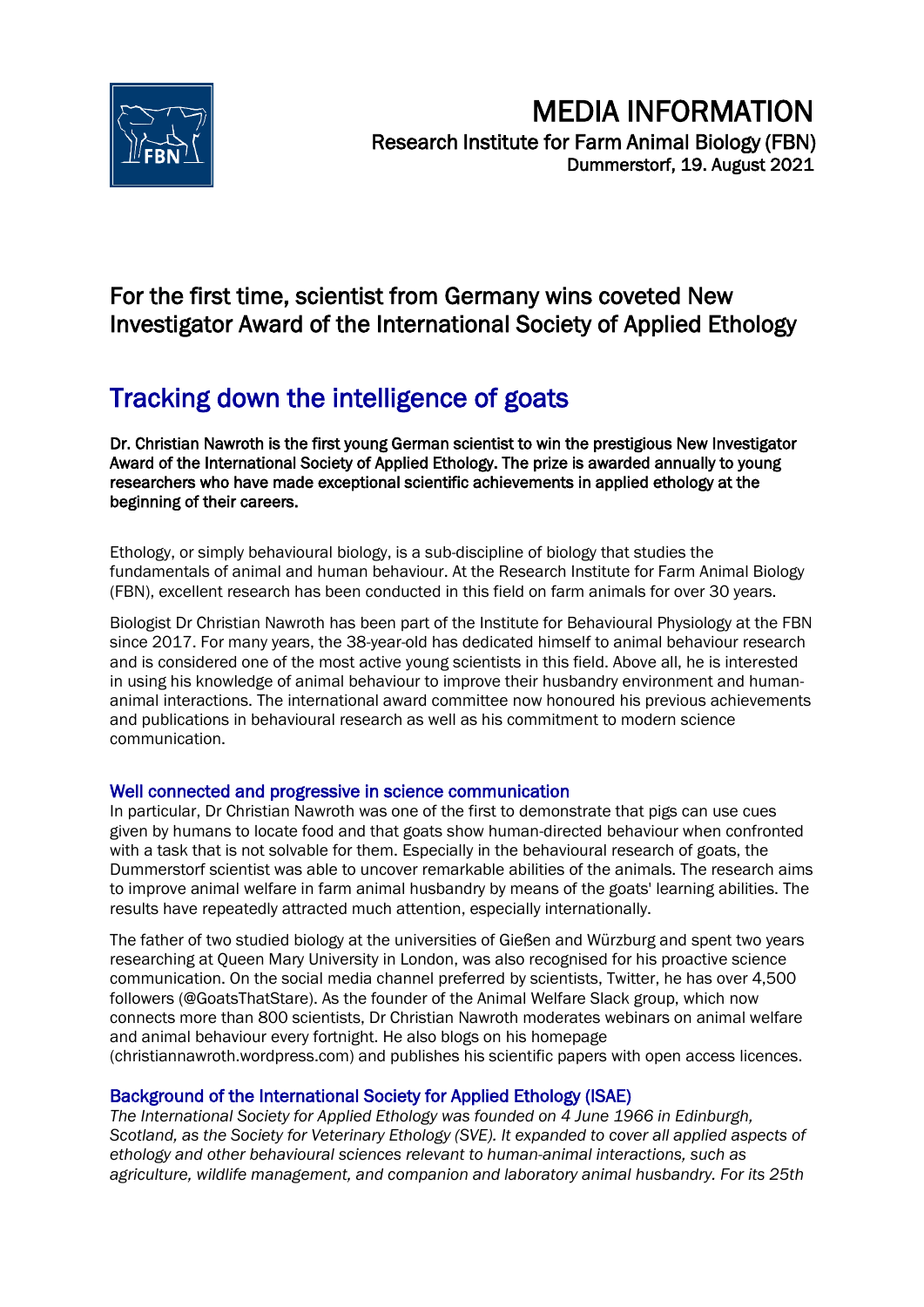

## For the first time, scientist from Germany wins coveted New Investigator Award of the International Society of Applied Ethology

# Tracking down the intelligence of goats

Dr. Christian Nawroth is the first young German scientist to win the prestigious New Investigator Award of the International Society of Applied Ethology. The prize is awarded annually to young researchers who have made exceptional scientific achievements in applied ethology at the beginning of their careers.

Ethology, or simply behavioural biology, is a sub-discipline of biology that studies the fundamentals of animal and human behaviour. At the Research Institute for Farm Animal Biology (FBN), excellent research has been conducted in this field on farm animals for over 30 years.

Biologist Dr Christian Nawroth has been part of the Institute for Behavioural Physiology at the FBN since 2017. For many years, the 38-year-old has dedicated himself to animal behaviour research and is considered one of the most active young scientists in this field. Above all, he is interested in using his knowledge of animal behaviour to improve their husbandry environment and humananimal interactions. The international award committee now honoured his previous achievements and publications in behavioural research as well as his commitment to modern science communication.

### Well connected and progressive in science communication

In particular, Dr Christian Nawroth was one of the first to demonstrate that pigs can use cues given by humans to locate food and that goats show human-directed behaviour when confronted with a task that is not solvable for them. Especially in the behavioural research of goats, the Dummerstorf scientist was able to uncover remarkable abilities of the animals. The research aims to improve animal welfare in farm animal husbandry by means of the goats' learning abilities. The results have repeatedly attracted much attention, especially internationally.

The father of two studied biology at the universities of Gießen and Würzburg and spent two years researching at Queen Mary University in London, was also recognised for his proactive science communication. On the social media channel preferred by scientists, Twitter, he has over 4,500 followers (@GoatsThatStare). As the founder of the Animal Welfare Slack group, which now connects more than 800 scientists, Dr Christian Nawroth moderates webinars on animal welfare and animal behaviour every fortnight. He also blogs on his homepage (christiannawroth.wordpress.com) and publishes his scientific papers with open access licences.

## Background of the International Society for Applied Ethology (ISAE)

*The International Society for Applied Ethology was founded on 4 June 1966 in Edinburgh, Scotland, as the Society for Veterinary Ethology (SVE). It expanded to cover all applied aspects of ethology and other behavioural sciences relevant to human-animal interactions, such as agriculture, wildlife management, and companion and laboratory animal husbandry. For its 25th*